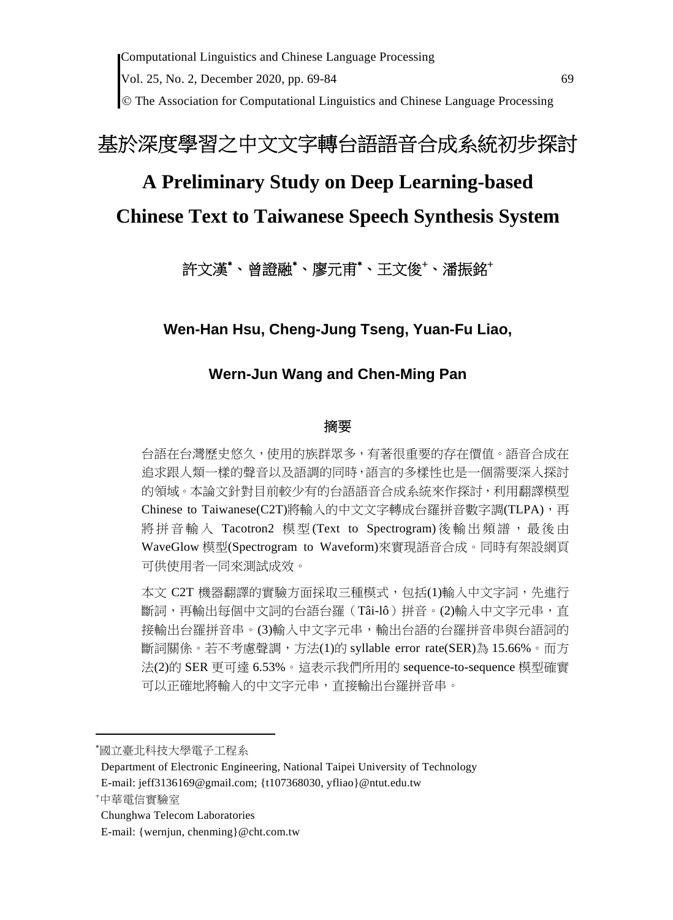The Association for Computational Linguistics and Chinese Language Processing

# 基於深度學習之中文文字轉台語語音合成系統初步探討

# **A Preliminary Study on Deep Learning-based**

# **Chinese Text to Taiwanese Speech Synthesis System**

# 許文漢<sup>\*</sup>、曾證融<sup>\*</sup>、廖元甫<sup>\*</sup>、王文俊<sup>+</sup>、潘振銘<sup>+</sup>

**Wen-Han Hsu, Cheng-Jung Tseng, Yuan-Fu Liao,** 

# **Wern-Jun Wang and Chen-Ming Pan**

### 摘要

台語在台灣歷史悠久,使用的族群眾多,有著很重要的存在價值。語音合成在 追求跟人類一樣的聲音以及語調的同時,語言的多樣性也是一個需要深入探討 的領域。本論文針對目前較少有的台語語音合成系統來作探討,利用翻譯模型 Chinese to Taiwanese(C2T)將輸入的中文文字轉成台羅拼音數字調(TLPA),再 將拼音輸入 Tacotron2 模型(Text to Spectrogram)後輸出頻譜,最後由 WaveGlow 模型(Spectrogram to Waveform)來實現語音合成。同時有架設網頁 可供使用者一同來測試成效。

本文 C2T 機器翻譯的實驗方面採取三種模式,包括(1)輸入中文字詞,先進行 斷詞,再輸出每個中文詞的台語台羅(Tâi-lô)拼音。(2)輸入中文字元串,直 接輸出台羅拼音串。(3)輸入中文字元串,輸出台語的台羅拼音串與台語詞的 斷詞關係。若不考慮聲調,方法(1)的 syllable error rate(SER)為 15.66%。而方 法(2)的 SER 更可達 6.53%。這表示我們所用的 sequence-to-sequence 模型確實 可以正確地將輸入的中文字元串,直接輸出台羅拼音串。

國立臺北科技大學電子工程系

Department of Electronic Engineering, National Taipei University of Technology E-mail: jeff3136169@gmail.com; {t107368030, yfliao}@ntut.edu.tw

中華電信實驗室

Chunghwa Telecom Laboratories

E-mail: {wernjun, chenming}@cht.com.tw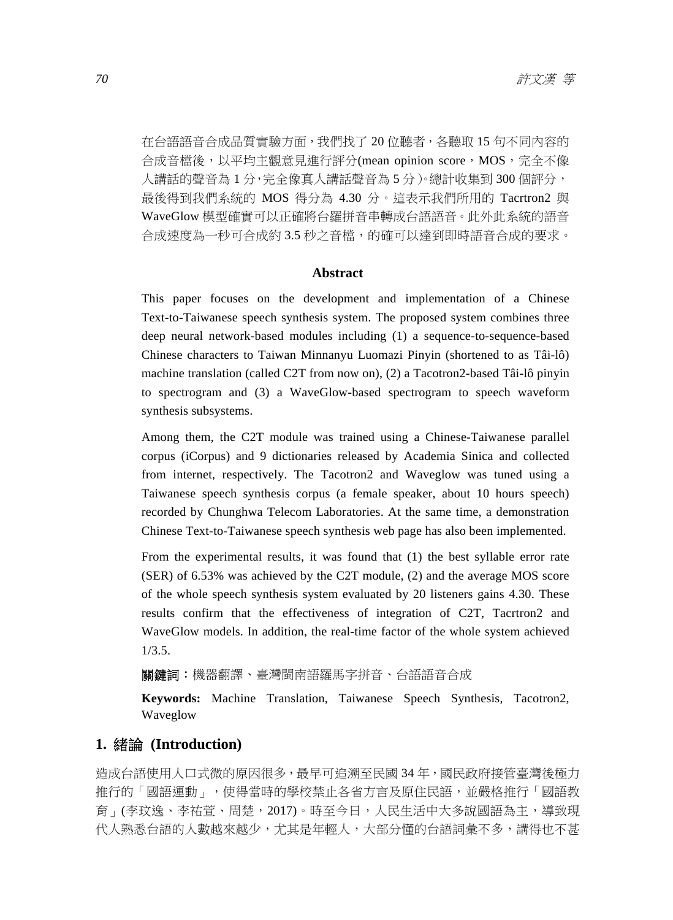在台語語音合成品質實驗方面,我們找了 20 位聽者,各聽取 15 句不同內容的 合成音檔後,以平均主觀意見進行評分(mean opinion score, MOS, 完全不像 人講話的聲音為 1 分,完全像真人講話聲音為 5 分)。總計收集到 300 個評分, 最後得到我們系統的 MOS 得分為 4.30 分。這表示我們所用的 Tacrtron2 與 WaveGlow 模型確實可以正確將台羅拼音串轉成台語語音。此外此系統的語音 合成速度為一秒可合成約 3.5 秒之音檔,的確可以達到即時語音合成的要求。

### **Abstract**

This paper focuses on the development and implementation of a Chinese Text-to-Taiwanese speech synthesis system. The proposed system combines three deep neural network-based modules including (1) a sequence-to-sequence-based Chinese characters to Taiwan Minnanyu Luomazi Pinyin (shortened to as Tâi-lô) machine translation (called C2T from now on), (2) a Tacotron2-based Tâi-lô pinyin to spectrogram and (3) a WaveGlow-based spectrogram to speech waveform synthesis subsystems.

Among them, the C2T module was trained using a Chinese-Taiwanese parallel corpus (iCorpus) and 9 dictionaries released by Academia Sinica and collected from internet, respectively. The Tacotron2 and Waveglow was tuned using a Taiwanese speech synthesis corpus (a female speaker, about 10 hours speech) recorded by Chunghwa Telecom Laboratories. At the same time, a demonstration Chinese Text-to-Taiwanese speech synthesis web page has also been implemented.

From the experimental results, it was found that (1) the best syllable error rate (SER) of 6.53% was achieved by the C2T module, (2) and the average MOS score of the whole speech synthesis system evaluated by 20 listeners gains 4.30. These results confirm that the effectiveness of integration of C2T, Tacrtron2 and WaveGlow models. In addition, the real-time factor of the whole system achieved 1/3.5.

**關鍵詞:**機器翻譯、臺灣閩南語羅馬字拼音、台語語音合成

**Keywords:** Machine Translation, Taiwanese Speech Synthesis, Tacotron2, Waveglow

### **1.** 緒論 **(Introduction)**

造成台語使用人口式微的原因很多,最早可追溯至民國 34 年,國民政府接管臺灣後極力 推行的「國語運動」,使得當時的學校禁止各省方言及原住民語,並嚴格推行「國語教 育」(李玟逸、李祐萱、周楚,2017)。時至今日,人民生活中大多說國語為主,導致現 代人熟悉台語的人數越來越少,尤其是年輕人,大部分懂的台語詞彙不多,講得也不甚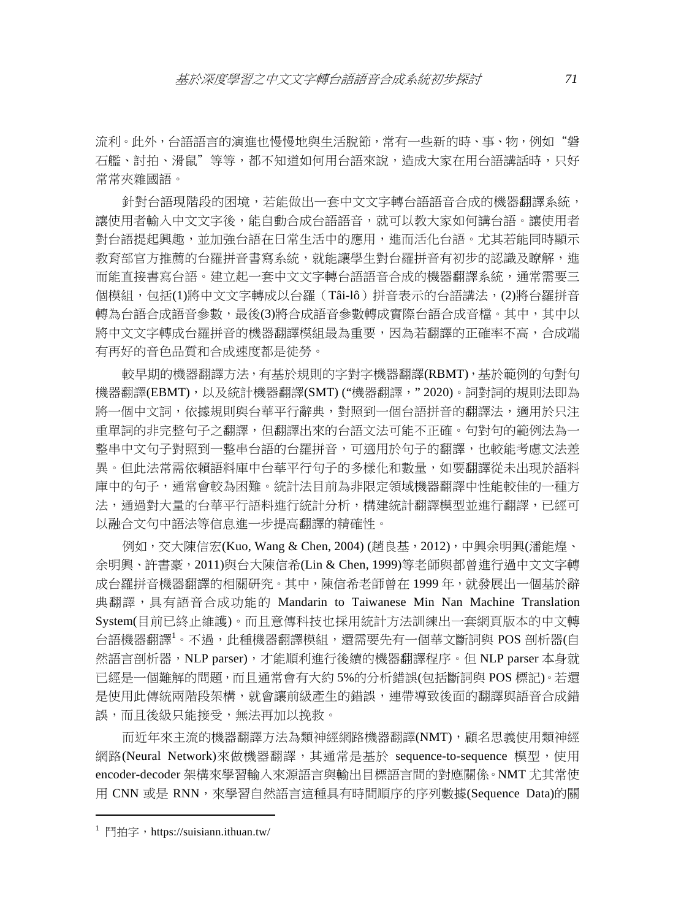流利。此外,台語語言的演進也慢慢地與生活脫節,常有一些新的時、事、物,例如"磐 石艦、討拍、滑鼠"等等,都不知道如何用台語來說,造成大家在用台語講話時,只好 常常夾雜國語。

針對台語現階段的困境,若能做出一套中文文字轉台語語音合成的機器翻譯系統, 讓使用者輸入中文文字後,能自動合成台語語音,就可以教大家如何講台語。讓使用者 對台語提起興趣,並加強台語在日常生活中的應用,進而活化台語。尤其若能同時顯示 教育部官方推薦的台羅拼音書寫系統,就能讓學生對台羅拼音有初步的認識及瞭解,進 而能直接書寫台語。建立起一套中文文字轉台語語音合成的機器翻譯系統,通常需要三 個模組,包括(1)將中文文字轉成以台羅(Tâi-lô)拼音表示的台語講法,(2)將台羅拼音 轉為台語合成語音參數,最後(3)將合成語音參數轉成實際台語合成音檔。其中,其中以 將中文文字轉成台羅拼音的機器翻譯模組最為重要,因為若翻譯的正確率不高,合成端 有再好的音色品質和合成速度都是徒勞。

較早期的機器翻譯方法,有基於規則的字對字機器翻譯(RBMT),基於範例的句對句 機器翻譯(EBMT),以及統計機器翻譯(SMT) ("機器翻譯," 2020)。詞對詞的規則法即為 將一個中文詞,依據規則與台華平行辭典,對照到一個台語拼音的翻譯法,適用於只注 重單詞的非完整句子之翻譯,但翻譯出來的台語文法可能不正確。句對句的範例法為一 整串中文句子對照到一整串台語的台羅拼音,可適用於句子的翻譯,也較能考慮文法差 異。但此法常需依賴語料庫中台華平行句子的多樣化和數量,如要翻譯從未出現於語料 庫中的句子,通常會較為困難。統計法目前為非限定領域機器翻譯中性能較佳的一種方 法,通過對大量的台華平行語料進行統計分析,構建統計翻譯模型並進行翻譯,已經可 以融合文句中語法等信息進一步提高翻譯的精確性。

例如,交大陳信宏(Kuo, Wang & Chen, 2004) (趙良基,2012),中興余明興(潘能煌、 余明興、許書豪,2011)與台大陳信希(Lin & Chen, 1999)等老師與都曾進行過中文文字轉 成台羅拼音機器翻譯的相關研究。其中,陳信希老師曾在 1999 年,就發展出一個基於辭 典翻譯,具有語音合成功能的 Mandarin to Taiwanese Min Nan Machine Translation System(目前已終止維護)。而且意傳科技也採用統計方法訓練出一套網頁版本的中文轉 台語機器翻譯<sup>1</sup>。不過,此種機器翻譯模組,還需要先有一個華文斷詞與 POS 剖析器(自 然語言剖析器,NLP parser),才能順利進行後續的機器翻譯程序。但 NLP parser 本身就 已經是一個難解的問題,而且通常會有大約 5%的分析錯誤(包括斷詞與 POS 標記)。若還 是使用此傳統兩階段架構,就會讓前級產生的錯誤,連帶導致後面的翻譯與語音合成錯 誤,而且後級只能接受,無法再加以挽救。

而近年來主流的機器翻譯方法為類神經網路機器翻譯(NMT),顧名思義使用類神經 網路(Neural Network)來做機器翻譯,其通常是基於 sequence-to-sequence 模型,使用 encoder-decoder 架構來學習輸入來源語言與輸出目標語言間的對應關係。NMT 尤其常使 用 CNN 或是 RNN,來學習自然語言這種具有時間順序的序列數據(Sequence Data)的關

  $^1$  鬥拍字,https://suisiann.ithuan.tw/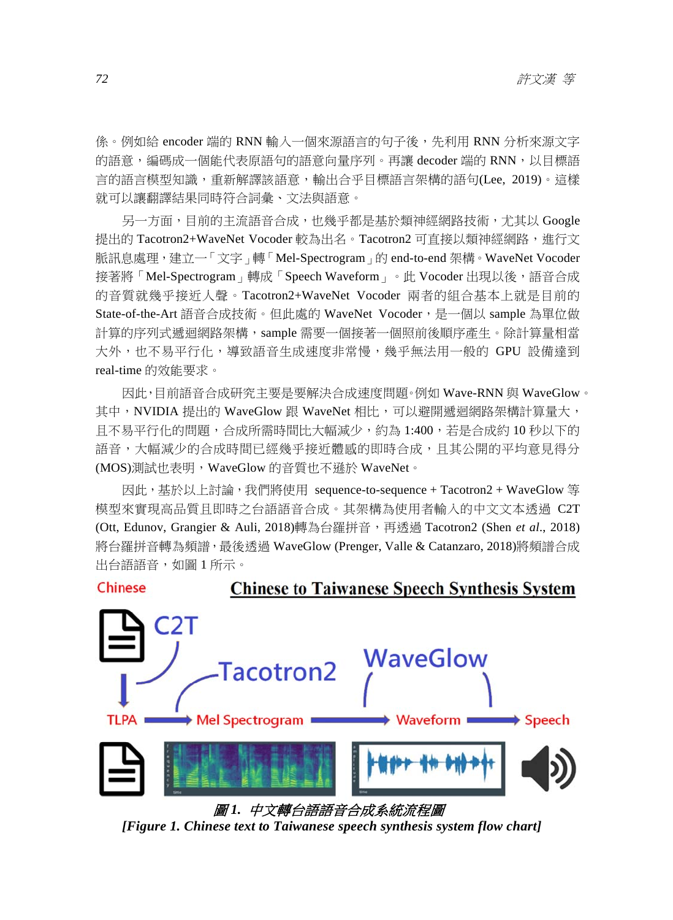係。例如給 encoder 端的 RNN 輸入一個來源語言的句子後,先利用 RNN 分析來源文字 的語意,編碼成一個能代表原語句的語意向量序列。再讓 decoder 端的 RNN,以目標語 言的語言模型知識,重新解譯該語意,輸出合乎目標語言架構的語句(Lee, 2019)。這樣 就可以讓翻譯結果同時符合詞彙、文法與語意。

另一方面,目前的主流語音合成,也幾乎都是基於類神經網路技術,尤其以 Google 提出的 Tacotron2+WaveNet Vocoder 較為出名。Tacotron2 可直接以類神經網路,進行文 脈訊息處理,建立一「文字」轉「Mel-Spectrogram」的 end-to-end 架構。WaveNet Vocoder 接著將「Mel-Spectrogram」轉成「Speech Waveform」。此 Vocoder 出現以後,語音合成 的音質就幾乎接近人聲。Tacotron2+WaveNet Vocoder 兩者的組合基本上就是目前的 State-of-the-Art 語音合成技術。但此處的 WaveNet Vocoder,是一個以 sample 為單位做 計算的序列式遞迴網路架構,sample 需要一個接著一個照前後順序產生。除計算量相當 大外,也不易平行化,導致語音生成速度非常慢,幾乎無法用一般的 GPU 設備達到 real-time 的效能要求。

因此,目前語音合成研究主要是要解決合成速度問題。例如 Wave-RNN 與 WaveGlow。 其中,NVIDIA 提出的 WaveGlow 跟 WaveNet 相比,可以避開遞迴網路架構計算量大, 且不易平行化的問題,合成所需時間比大幅減少,約為 1:400,若是合成約 10 秒以下的 語音,大幅減少的合成時間已經幾乎接近體感的即時合成,且其公開的平均意見得分 (MOS)測試也表明, WaveGlow 的音質也不遜於 WaveNet。

因此,基於以上討論,我們將使用 sequence-to-sequence + Tacotron2 + WaveGlow 等 模型來實現高品質且即時之台語語音合成。其架構為使用者輸入的中文文本透過 C2T (Ott, Edunov, Grangier & Auli, 2018)轉為台羅拼音,再透過 Tacotron2 (Shen *et al*., 2018) 將台羅拼音轉為頻譜,最後透過 WaveGlow (Prenger, Valle & Catanzaro, 2018)將頻譜合成 出台語語音,如圖 1 所示。



圖 *1.* 中文轉台語語音合成系統流程圖

*[Figure 1. Chinese text to Taiwanese speech synthesis system flow chart]*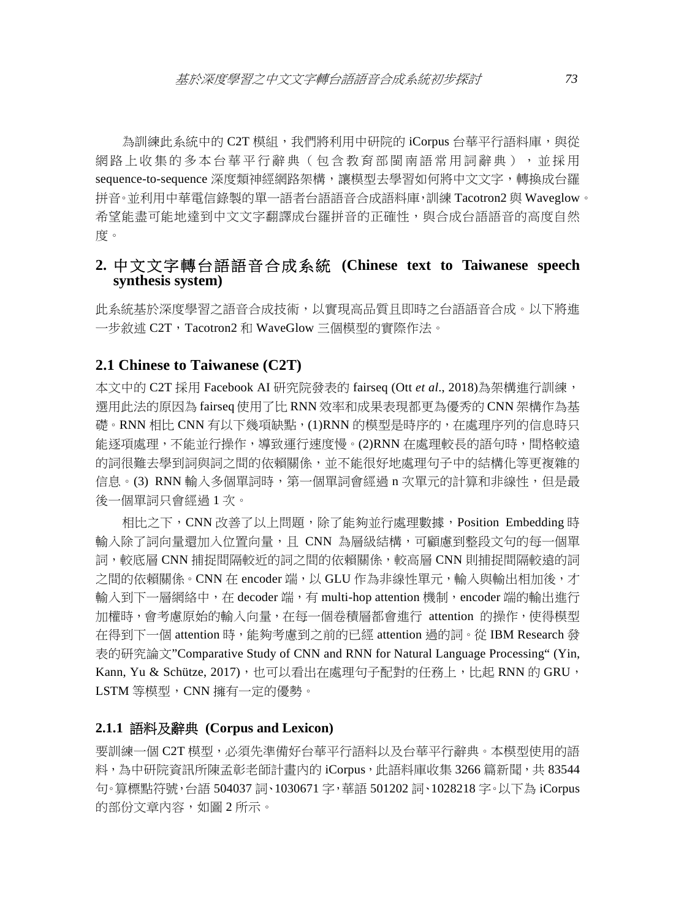為訓練此系統中的 C2T 模組,我們將利用中研院的 iCorpus 台華平行語料庫,與從 網路上收集的多本台華平行辭典(包含教育部閩南語常用詞辭典),並採用 sequence-to-sequence 深度類神經網路架構,讓模型去學習如何將中文文字,轉換成台羅 拼音。並利用中華電信錄製的單一語者台語語音合成語料庫,訓練 Tacotron2 與 Waveglow。 希望能盡可能地達到中文文字翻譯成台羅拼音的正確性,與合成台語語音的高度自然 度。

## **2.** 中文文字轉台語語音合成系統 **(Chinese text to Taiwanese speech synthesis system)**

此系統基於深度學習之語音合成技術,以實現高品質且即時之台語語音合成。以下將進 一步敘述 C2T,Tacotron2 和 WaveGlow 三個模型的實際作法。

### **2.1 Chinese to Taiwanese (C2T)**

本文中的 C2T 採用 Facebook AI 研究院發表的 fairseq (Ott *et al*., 2018)為架構進行訓練, 選用此法的原因為 fairseq 使用了比 RNN 效率和成果表現都更為優秀的 CNN 架構作為基 礎。RNN 相比 CNN 有以下幾項缺點,(1)RNN 的模型是時序的,在處理序列的信息時只 能逐項處理,不能並行操作,導致運行速度慢。(2)RNN 在處理較長的語句時,間格較遠 的詞很難去學到詞與詞之間的依賴關係,並不能很好地處理句子中的結構化等更複雜的 信息。(3) RNN 輸入多個單詞時,第一個單詞會經過 n 次單元的計算和非線性,但是最 後一個單詞只會經過 1 次。

相比之下,CNN 改善了以上問題,除了能夠並行處理數據,Position Embedding 時 輸入除了詞向量還加入位置向量,且 CNN 為層級結構,可顧慮到整段文句的每一個單 詞,較底層 CNN 捕捉間隔較近的詞之間的依賴關係,較高層 CNN 則捕捉間隔較遠的詞 之間的依賴關係。CNN 在 encoder 端,以 GLU 作為非線性單元,輸入與輸出相加後,才 輸入到下一層網絡中,在 decoder 端,有 multi-hop attention 機制,encoder 端的輸出進行 加權時,會考慮原始的輸入向量,在每一個卷積層都會進行 attention 的操作,使得模型 在得到下一個 attention 時,能夠考慮到之前的已經 attention 過的詞。從 IBM Research 發 表的研究論文"Comparative Study of CNN and RNN for Natural Language Processing" (Yin, Kann, Yu & Schütze, 2017), 也可以看出在處理句子配對的任務上, 比起 RNN 的 GRU, LSTM 等模型,CNN 擁有一定的優勢。

### **2.1.1** 語料及辭典 **(Corpus and Lexicon)**

要訓練一個 C2T 模型,必須先準備好台華平行語料以及台華平行辭典。本模型使用的語 料,為中研院資訊所陳孟彰老師計書內的 iCorpus,此語料庫收集 3266 篇新聞,共 83544 句。算標點符號,台語 504037 詞、1030671 字,華語 501202 詞、1028218 字。以下為 iCorpus 的部份文章内容,如圖 2 所示。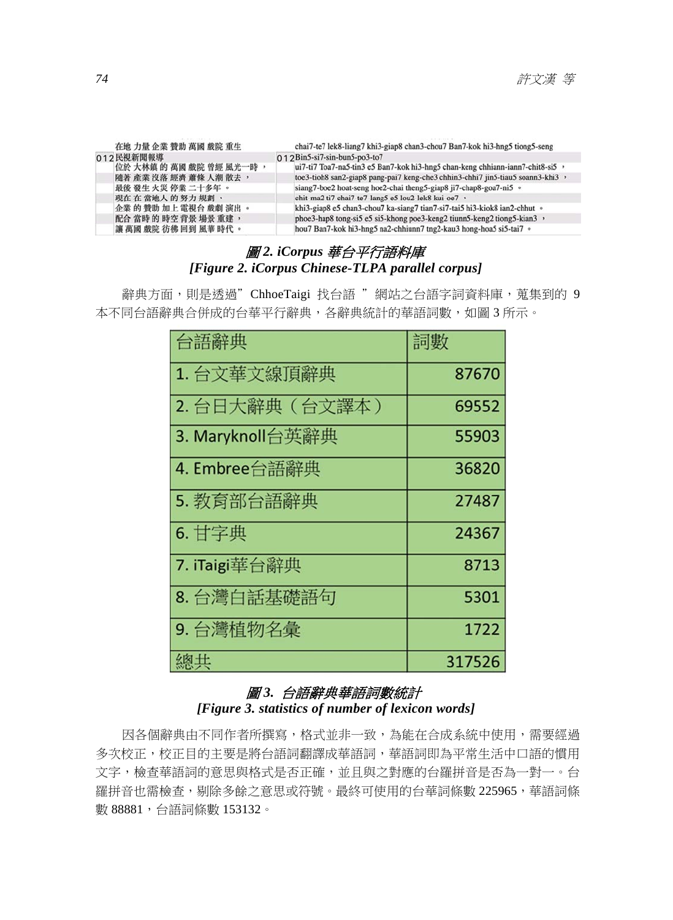| 在地 力量 企業 贊助 萬國 戲院 重生    | chai7-te7 lek8-liang7 khi3-giap8 chan3-chou7 Ban7-kok hi3-hng5 tiong5-seng      |
|-------------------------|---------------------------------------------------------------------------------|
| 012民視新聞報導               | $Q_1$ 2 Bin5-si7-sin-bun5-po3-to7                                               |
| 位於 大林鎮 的 萬國 戲院 曾經 風光一時, | ui7-ti7 Toa7-na5-tin3 e5 Ban7-kok hi3-hng5 chan-keng chhiann-iann7-chit8-si5 ,  |
| 隨著 產業 沒落 經濟 蕭條 人潮 散去,   | toe3-tioh8 san2-giap8 pang-pai7 keng-che3 chhin3-chhi7 jin5-tiau5 soann3-khi3 , |
| 最後 發生 火災 停業 二十多年 。      | siang7-boe2 hoat-seng hoe2-chai theng5-giap8 ji7-chap8-goa7-ni5 •               |
| 現在在當地人的努力規劃,            | chit-ma2 ti7 chai7-te7-lang5 e5 lou2-lek8 kui-oe7 ·                             |
| 企業的贊助加上電視台戲劇演出。         | khi3-giap8 e5 chan3-chou7 ka-siang7 tian7-si7-tai5 hi3-kiok8 ian2-chhut ·       |
| 配合 當時 的 時空 背景 場景 重建,    | phoe3-hap8 tong-si5 e5 si5-khong poe3-keng2 tiunn5-keng2 tiong5-kian3,          |
| 讓 萬國 戲院 彷彿 回到 風華 時代 。   | hou7 Ban7-kok hi3-hng5 na2-chhiunn7 tng2-kau3 hong-hoa5 si5-tai7 ·              |
|                         |                                                                                 |

# 圖 *2. iCorpus* 華台平行語料庫 *[Figure 2. iCorpus Chinese-TLPA parallel corpus]*

辭典方面,則是透過"ChhoeTaigi 找台語 "網站之台語字詞資料庫,蒐集到的 9 本不同台語辭典合併成的台華平行辭典,各辭典統計的華語詞數,如圖 3 所示。

| 台語辭典             | 詞數     |
|------------------|--------|
| 1. 台文華文線頂辭典      | 87670  |
| 2. 台日大辭典(台文譯本)   | 69552  |
| 3. Maryknoll台英辭典 | 55903  |
| 4. Embree台語辭典    | 36820  |
| 5. 教育部台語辭典       | 27487  |
| 6. 甘字典           | 24367  |
| 7. iTaigi華台辭典    | 8713   |
| 8. 台灣白話基礎語句      | 5301   |
| 9. 台灣植物名彙        | 1722   |
| 總共               | 317526 |

### 圖 *3.* 台語辭典華語詞數統計 *[Figure 3. statistics of number of lexicon words]*

因各個辭典由不同作者所撰寫,格式並非一致,為能在合成系統中使用,需要經過 多次校正,校正目的主要是將台語詞翻譯成華語詞,華語詞即為平常生活中口語的慣用 文字,檢查華語詞的意思與格式是否正確,並且與之對應的台羅拼音是否為一對一。台 羅拼音也需檢查,剔除多餘之意思或符號。最終可使用的台華詞條數 225965,華語詞條 數 88881,台語詞條數 153132。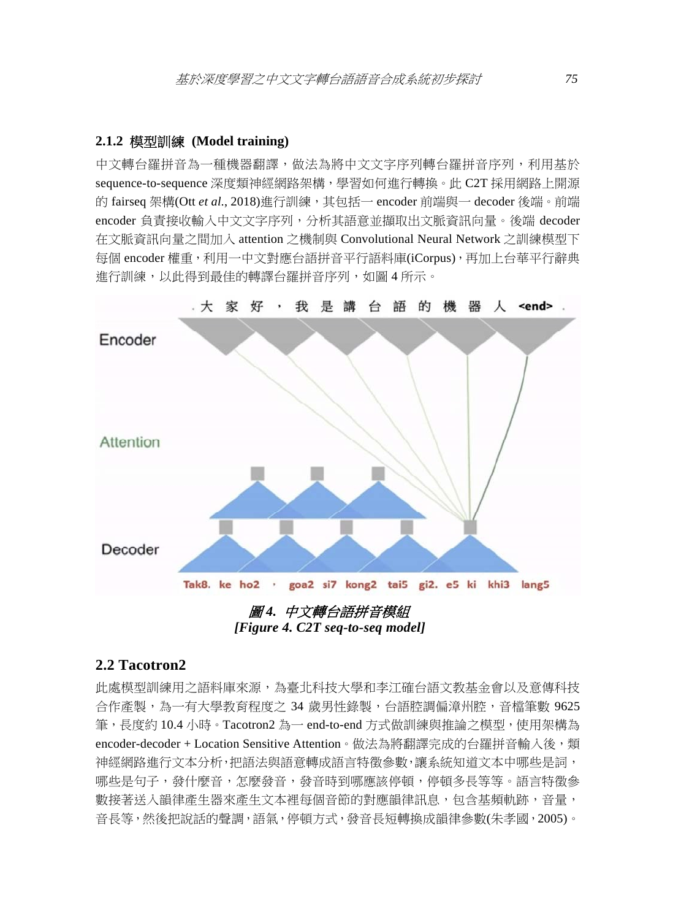### **2.1.2** 模型訓練 **(Model training)**

中文轉台羅拼音為一種機器翻譯,做法為將中文文字序列轉台羅拼音序列,利用基於 sequence-to-sequence 深度類神經網路架構,學習如何進行轉換。此 C2T 採用網路上開源 的 fairseq 架構(Ott *et al*., 2018)進行訓練,其包括一 encoder 前端與一 decoder 後端。前端 encoder 負責接收輸入中文文字序列,分析其語意並擷取出文脈資訊向量。後端 decoder 在文脈資訊向量之間加入 attention 之機制與 Convolutional Neural Network 之訓練模型下 每個 encoder 權重,利用一中文對應台語拼音平行語料庫(iCorpus),再加上台華平行辭典 進行訓練,以此得到最佳的轉譯台羅拼音序列,如圖 4 所示。



*[Figure 4. C2T seq-to-seq model]* 

### **2.2 Tacotron2**

此處模型訓練用之語料庫來源,為臺北科技大學和李江確台語文教基金會以及意傳科技 合作產製,為一有大學教育程度之 34 歲男性錄製,台語腔調偏漳州腔,音檔筆數 9625 筆,長度約 10.4 小時。Tacotron2 為一 end-to-end 方式做訓練與推論之模型,使用架構為 encoder-decoder + Location Sensitive Attention。做法為將翻譯宗成的台羅拼音輸入後,類 神經網路進行文本分析,把語法與語意轉成語言特徵參數,讓系統知道文本中哪些是詞, 哪些是句子,發什麼音,怎麼發音,發音時到哪應該停頓,停頓多長等等。語言特徵參 數接著送入韻律產生器來產生文本裡每個音節的對應韻律訊息,包含基頻軌跡,音量, 音長等,然後把說話的聲調,語氣,停頓方式,發音長短轉換成韻律參數(朱孝國,2005)。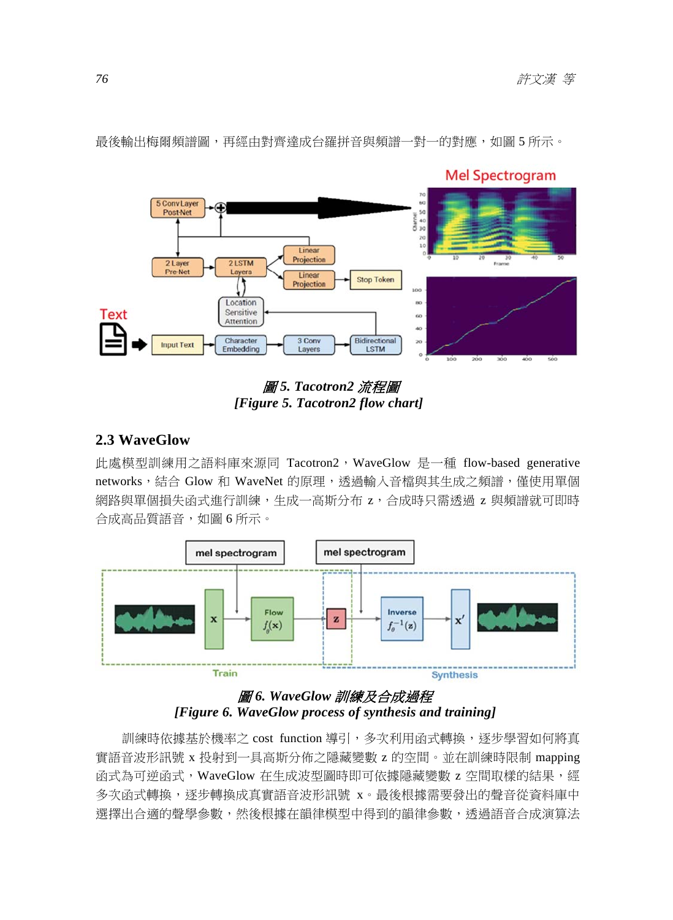

最後輸出梅爾頻譜圖,再經由對齊達成台羅拼音與頻譜一對一的對應,如圖 5 所示。

圖 *5. Tacotron2* 流程圖 *[Figure 5. Tacotron2 flow chart]* 

### **2.3 WaveGlow**

此處模型訓練用之語料庫來源同 Tacotron2,WaveGlow 是一種 flow-based generative networks,結合 Glow 和 WaveNet 的原理,透過輸入音檔與其生成之頻譜,僅使用單個 網路與單個損失函式進行訓練,生成一高斯分布 z,合成時只需透過 z 與頻譜就可即時 合成高品質語音,如圖 6 所示。



# 圖 *6. WaveGlow* 訓練及合成過程 *[Figure 6. WaveGlow process of synthesis and training]*

訓練時依據基於機率之 cost function 導引,多次利用函式轉換,逐步學習如何將真 實語音波形訊號 x 投射到一具高斯分佈之隱藏變數 z 的空間。並在訓練時限制 mapping 函式為可逆函式, WaveGlow 在生成波型圖時即可依據隱藏變數 z 空間取樣的結果,經 多次函式轉換,逐步轉換成真實語音波形訊號 x。最後根據需要發出的聲音從資料庫中 選擇出合適的聲學參數,然後根據在韻律模型中得到的韻律參數,透過語音合成演算法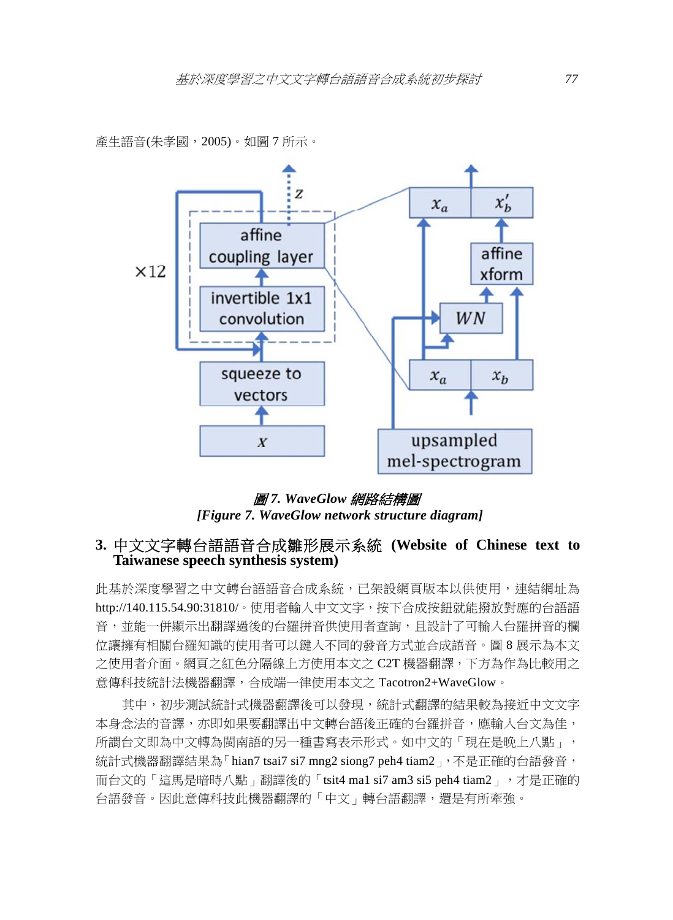產生語音(朱孝國,2005)。如圖 7 所示。



圖 *7. WaveGlow* 網路結構圖 *[Figure 7. WaveGlow network structure diagram]* 

## **3.** 中文文字轉台語語音合成雛形展示系統 **(Website of Chinese text to Taiwanese speech synthesis system)**

此基於深度學習之中文轉台語語音合成系統,已架設網頁版本以供使用,連結網址為 http://140.115.54.90:31810/。使用者輸入中文文字,按下合成按鈕就能撥放對應的台語語 音,並能一併顯示出翻譯過後的台羅拼音供使用者查詢,且設計了可輸入台羅拼音的欄 位讓擁有相關台羅知識的使用者可以鍵入不同的發音方式並合成語音。圖 8 展示為本文 之使用者介面。網頁之紅色分隔線上方使用本文之 C2T 機器翻譯,下方為作為比較用之 意傳科技統計法機器翻譯,合成端一律使用本文之 Tacotron2+WaveGlow。

其中,初步測試統計式機器翻譯後可以發現,統計式翻譯的結果較為接近中文文字 本身念法的音譯,亦即如果要翻譯出中文轉台語後正確的台羅拼音,應輸入台文為佳, 所謂台文即為中文轉為閩南語的另一種書寫表示形式。如中文的「現在是晚上八點」, 統計式機器翻譯結果為「hian7 tsai7 si7 mng2 siong7 peh4 tiam2 , 不是正確的台語發音, 而台文的「這馬是暗時八點」翻譯後的「tsit4 ma1 si7 am3 si5 peh4 tiam2」,才是正確的 台語發音。因此意傳科技此機器翻譯的「中文」轉台語翻譯,還是有所牽強。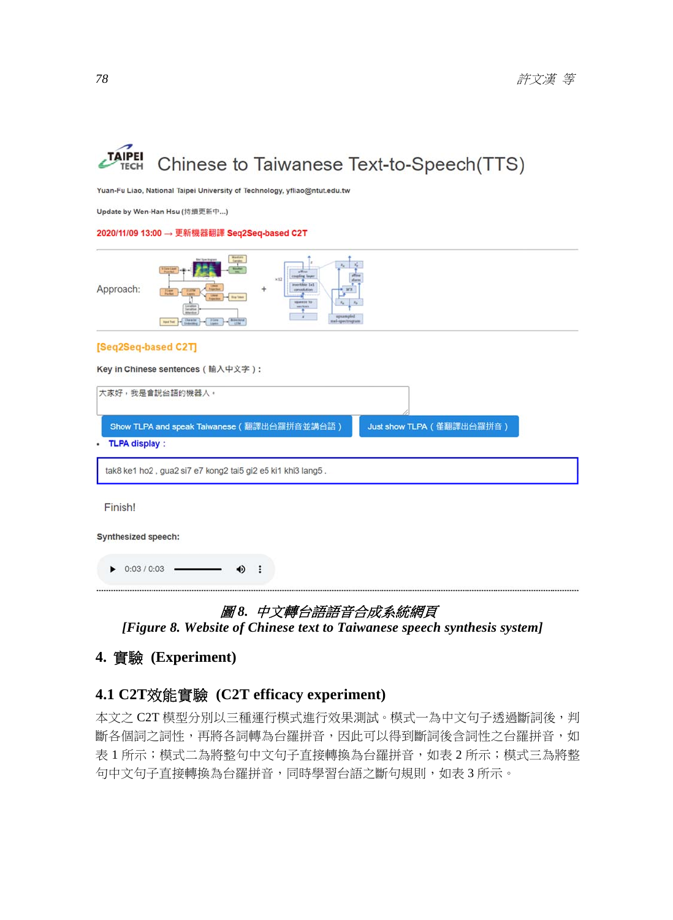

Yuan-Fu Liao, National Taipei University of Technology, yfliao@ntut.edu.tw

Update by Wen-Han Hsu (持續更新中...)

#### 2020/11/09 13:00 → 更新機器翻譯 Seq2Seq-based C2T



#### [Seq2Seq-based C2T]

Key in Chinese sentences (輸入中文字):

| 大家好,我是會說台語的機器人。                                             |                           |  |  |  |
|-------------------------------------------------------------|---------------------------|--|--|--|
| Show TLPA and speak Taiwanese (翻譯出台羅拼音並講台語)                 | Just show TLPA (僅翻譯出台羅拼音) |  |  |  |
| <b>TLPA display:</b>                                        |                           |  |  |  |
| tak8 ke1 ho2, gua2 si7 e7 kong2 tai5 gi2 e5 ki1 khi3 lang5. |                           |  |  |  |
| Finish!                                                     |                           |  |  |  |
| Synthesized speech:                                         |                           |  |  |  |
| 0:03 / 0:03                                                 |                           |  |  |  |

### 圖 *8.* 中文轉台語語音合成系統網頁

*[Figure 8. Website of Chinese text to Taiwanese speech synthesis system]* 

# **4.** 實驗 **(Experiment)**

# **4.1 C2T**效能實驗 **(C2T efficacy experiment)**

本文之 C2T 模型分別以三種運行模式進行效果測試。模式一為中文句子透過斷詞後,判 斷各個詞之詞性,再將各詞轉為台羅拼音,因此可以得到斷詞後含詞性之台羅拼音,如 表 1 所示;模式二為將整句中文句子直接轉換為台羅拼音,如表 2 所示;模式三為將整 句中文句子直接轉換為台羅拼音,同時學習台語之斷句規則,如表 3 所示。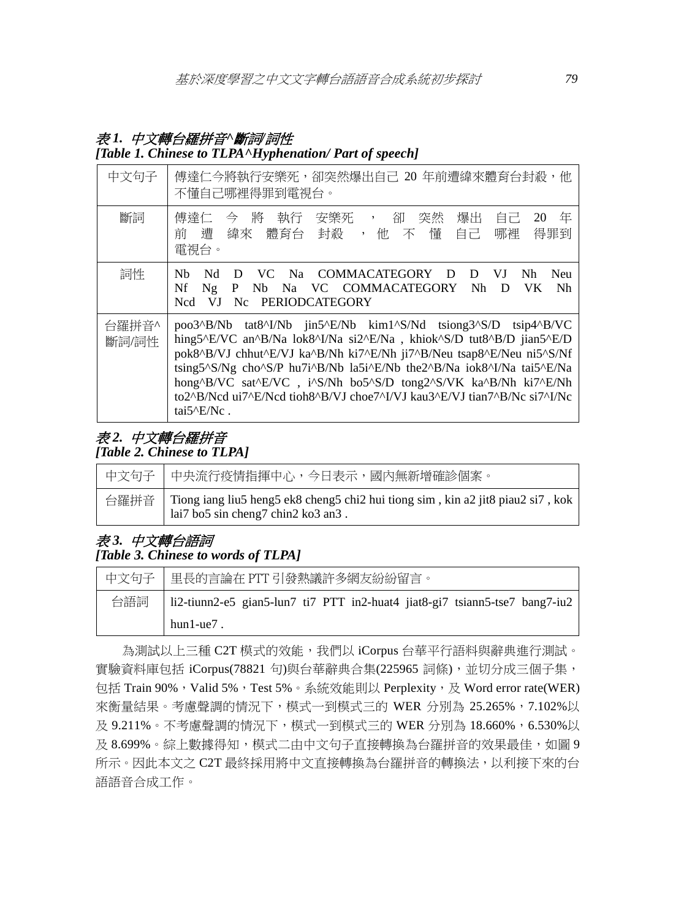# 表 *1.* 中文轉台羅拼音*^*斷詞*/*詞性

### *[Table 1. Chinese to TLPA^Hyphenation/ Part of speech]*

| 中文句子           | 傅達仁今將執行安樂死,卻突然爆出自己 20 年前遭緯來體育台封殺,他<br>不懂自己哪裡得罪到電視台。                                                                                                                                                                                                                                                                                                                                                                                                          |
|----------------|--------------------------------------------------------------------------------------------------------------------------------------------------------------------------------------------------------------------------------------------------------------------------------------------------------------------------------------------------------------------------------------------------------------------------------------------------------------|
| 斷詞             | 今將<br>年<br>卻<br>執行<br>安樂死 ,<br>突然<br>爆出<br>傅達仁<br>自己<br>20<br>緯來 體育台 封殺<br>,他 不懂<br>哪裡<br>自己。<br>得罪到<br>前 遭<br>電視台。                                                                                                                                                                                                                                                                                                                                          |
| 詞性             | Nh<br>Nd<br>COMMACATEGORY D<br>VJ<br>Neu<br>- D<br>VC.<br>- Na<br>D<br>Nh.<br>Nh<br>Nf<br>VC COMMACATEGORY<br>Ng<br>P<br>N <sub>b</sub><br>Na N<br>Nh.<br>VK.<br>D<br>Nc<br><b>PERIODCATEGORY</b><br><b>Ncd</b><br>VI                                                                                                                                                                                                                                        |
| 台羅拼音^<br>斷詞/詞性 | poo3^B/Nb tat8^I/Nb jin5^E/Nb kim1^S/Nd tsiong3^S/D tsip4^B/VC<br>hing5^E/VC an^B/Na lok8^I/Na si2^E/Na, khiok^S/D tut8^B/D jian5^E/D<br>pok8^B/VJ chhut^E/VJ ka^B/Nh ki7^E/Nh ji7^B/Neu tsap8^E/Neu ni5^S/Nf<br>tsing5^S/Ng cho^S/P hu7i^B/Nb la5i^E/Nb the2^B/Na iok8^I/Na tai5^E/Na<br>hong^B/VC sat^E/VC, i^S/Nh bo5^S/D tong2^S/VK ka^B/Nh ki7^E/Nh<br>to2^B/Ncd ui7^E/Ncd tioh8^B/VJ choe7^I/VJ kau3^E/VJ tian7^B/Nc si7^I/Nc<br>tai5 $^{\circ}$ E/Nc. |

# 表 *2.* 中文轉台羅拼音

*[Table 2. Chinese to TLPA]* 

| 中文句子   中央流行疫情指揮中心,今日表示,國內無新增確診個案。                                                                                            |
|------------------------------------------------------------------------------------------------------------------------------|
| 台羅拼音   Tiong iang liu5 heng5 ek8 cheng5 chi2 hui tiong sim, kin a2 jit8 piau2 si7, kok<br>lai7 bo5 sin cheng7 chin2 ko3 an3. |

# 表 *3.* 中文轉台語詞 *[Table 3. Chinese to words of TLPA]*

|     | 中文句子   里長的言論在 PTT 引發熱議許多網友紛紛留言。                                             |  |  |  |  |  |
|-----|-----------------------------------------------------------------------------|--|--|--|--|--|
| 台語詞 | li2-tiunn2-e5 gian5-lun7 ti7 PTT in2-huat4 jiat8-gi7 tsiann5-tse7 bang7-iu2 |  |  |  |  |  |
|     | $hun1-ue7$ .                                                                |  |  |  |  |  |

為測試以上三種 C2T 模式的效能,我們以 iCorpus 台華平行語料與辭典進行測試。 實驗資料庫包括 iCorpus(78821 句)與台華辭典合集(225965 詞條),並切分成三個子集, 包括 Train 90%, Valid 5%, Test 5%。系統效能則以 Perplexity, 及 Word error rate(WER) 來衡量結果。考慮聲調的情況下,模式一到模式三的 WER 分別為 25.265%,7.102%以 及 9.211%。不考慮聲調的情況下, 模式一到模式三的 WER 分別為 18.660%, 6.530%以 及 8.699%。綜上數據得知,模式二由中文句子直接轉換為台羅拼音的效果最佳,如圖 9 所示。因此本文之 C2T 最終採用將中文直接轉換為台羅拼音的轉換法,以利接下來的台 語語音合成工作。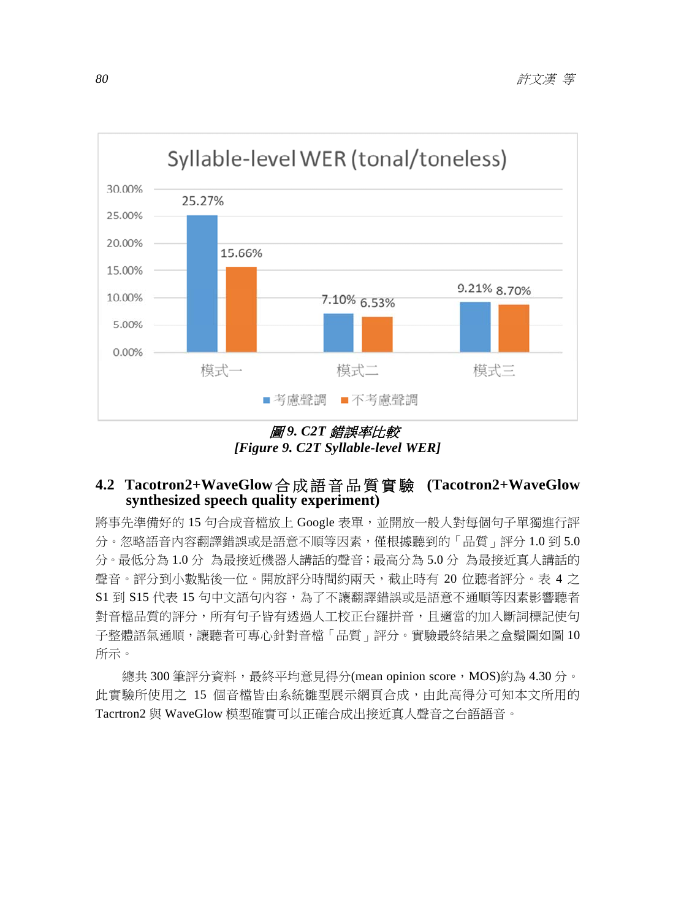

圖 *9. C2T* 錯誤率比較 *[Figure 9. C2T Syllable-level WER]* 

# **4.2 Tacotron2+WaveGlow**合成語音品質實驗 **(Tacotron2+WaveGlow synthesized speech quality experiment)**

將事先準備好的 15 句合成音檔放上 Google 表單,並開放一般人對每個句子單獨進行評 分。忽略語音內容翻譯錯誤或是語意不順等因素,僅根據聽到的「品質」評分 1.0 到 5.0 分。最低分為 1.0 分 為最接近機器人講話的聲音;最高分為 5.0 分 為最接近真人講話的 聲音。評分到小數點後一位。開放評分時間約兩天,截止時有 20 位聽者評分。表 4 之 S1 到 S15 代表 15 句中文語句內容,為了不讓翻譯錯誤或是語意不通順等因素影響聽者 對音檔品質的評分,所有句子皆有透過人工校正台羅拼音,且適當的加入斷詞標記使句 子整體語氣通順,讓聽者可專心針對音檔「品質」評分。實驗最終結果之盒鬚圖如圖 10 所示。

總共 300 筆評分資料,最終平均意見得分(mean opinion score, MOS)約為 4.30 分。 此實驗所使用之 15 個音檔皆由系統雛型展示網頁合成,由此高得分可知本文所用的 Tacrtron2 與 WaveGlow 模型確實可以正確合成出接近真人聲音之台語語音。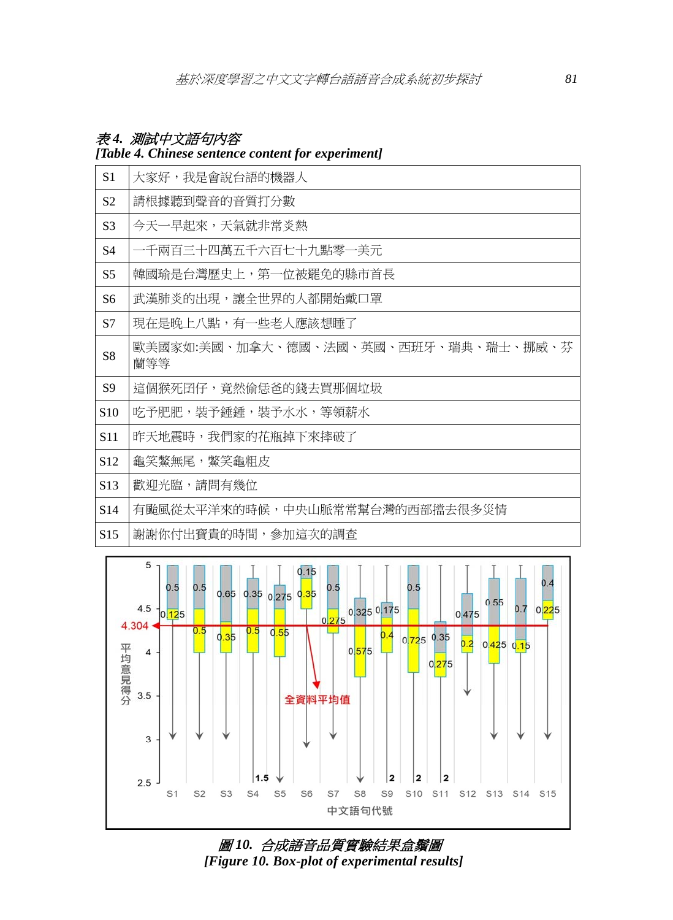# 表 *4.* 測試中文語句內容

### *[Table 4. Chinese sentence content for experiment]*

| S1              | 大家好,我是會說台語的機器人                              |
|-----------------|---------------------------------------------|
| S <sub>2</sub>  | 請根據聽到聲音的音質打分數                               |
| S <sub>3</sub>  | 今天一早起來,天氣就非常炎熱                              |
| S4              | 一千兩百三十四萬五千六百七十九點零一美元                        |
| S <sub>5</sub>  | 韓國瑜是台灣歷史上,第一位被罷免的縣市首長                       |
| S <sub>6</sub>  | 武漢肺炎的出現,讓全世界的人都開始戴口罩                        |
| S7              | 現在是晚上八點,有一些老人應該想睡了                          |
| S8              | 歐美國家如:美國、加拿大、德國、法國、英國、西班牙、瑞典、瑞士、挪威、芬<br>蘭等等 |
| S <sub>9</sub>  | 這個猴死囝仔,竟然偷恁爸的錢去買那個垃圾                        |
| S <sub>10</sub> | 吃予肥肥,裝予錘錘,裝予水水,等領薪水                         |
| S <sub>11</sub> | 昨天地震時,我們家的花瓶掉下來摔破了                          |
| S <sub>12</sub> | 龜笑鱉無尾,鱉笑龜粗皮                                 |
| S <sub>13</sub> | 歡迎光臨,請問有幾位                                  |
| S <sub>14</sub> | 有颱風從太平洋來的時候,中央山脈常常幫台灣的西部擋去很多災情              |
| S15             | 謝謝你付出寶貴的時間,參加這次的調查                          |



圖 *10.* 合成語音品質實驗結果盒鬚圖 *[Figure 10. Box-plot of experimental results]*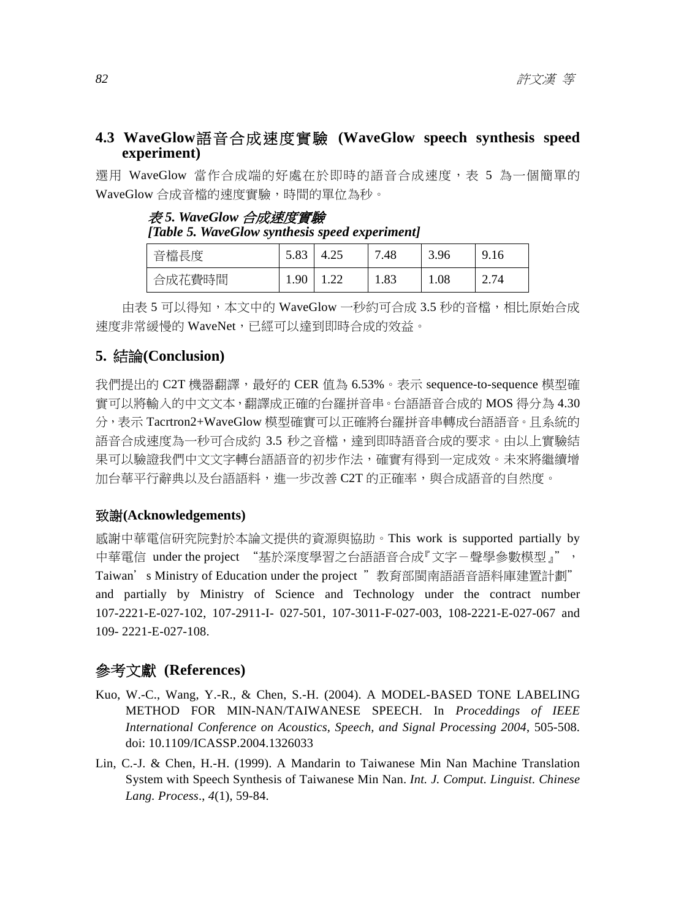# **4.3 WaveGlow**語音合成速度實驗 **(WaveGlow speech synthesis speed experiment)**

選用 WaveGlow 當作合成端的好處在於即時的語音合成速度,表 5 為一個簡單的 WaveGlow 合成音檔的速度實驗,時間的單位為秒。

| [Table 5. WaveGlow synthesis speed experiment] |           |  |       |      |      |  |  |
|------------------------------------------------|-----------|--|-------|------|------|--|--|
| 音檔長度                                           | 5.83 4.25 |  | 17.48 | 3.96 | 9.16 |  |  |

合成花費時間 1.90 1.22 1.83 1.08 2.74

表 *5. WaveGlow* 合成速度實驗

由表 5 可以得知,本文中的 WaveGlow 一秒約可合成 3.5 秒的音檔,相比原始合成 速度非常緩慢的 WaveNet,已經可以達到即時合成的效益。

# **5.** 結論**(Conclusion)**

我們提出的 C2T 機器翻譯,最好的 CER 值為 6.53%。表示 sequence-to-sequence 模型確 實可以將輸入的中文文本,翻譯成正確的台羅拼音串。台語語音合成的 MOS 得分為 4.30 分,表示 Tacrtron2+WaveGlow 模型確實可以正確將台羅拼音串轉成台語語音。且系統的 語音合成速度為一秒可合成約 3.5 秒之音檔,達到即時語音合成的要求。由以上實驗結 果可以驗證我們中文文字轉台語語音的初步作法,確實有得到一定成效。未來將繼續增 加台華平行辭典以及台語語料,進一步改善 C2T 的正確率,與合成語音的自然度。

### 致謝**(Acknowledgements)**

感謝中華電信研究院對於本論文提供的資源與協助。This work is supported partially by 中華電信 under the project "基於深度學習之台語語音合成『文字-聲學參數模型』", Taiwan's Ministry of Education under the project "教育部閩南語語音語料庫建置計劃" and partially by Ministry of Science and Technology under the contract number 107-2221-E-027-102, 107-2911-I- 027-501, 107-3011-F-027-003, 108-2221-E-027-067 and 109- 2221-E-027-108.

# 參考文獻 **(References)**

- Kuo, W.-C., Wang, Y.-R., & Chen, S.-H. (2004). A MODEL-BASED TONE LABELING METHOD FOR MIN-NAN/TAIWANESE SPEECH. In *Proceddings of IEEE International Conference on Acoustics, Speech, and Signal Processing 2004*, 505-508. doi: 10.1109/ICASSP.2004.1326033
- Lin, C.-J. & Chen, H.-H. (1999). A Mandarin to Taiwanese Min Nan Machine Translation System with Speech Synthesis of Taiwanese Min Nan. *Int. J. Comput. Linguist. Chinese Lang. Process*., *4*(1), 59-84.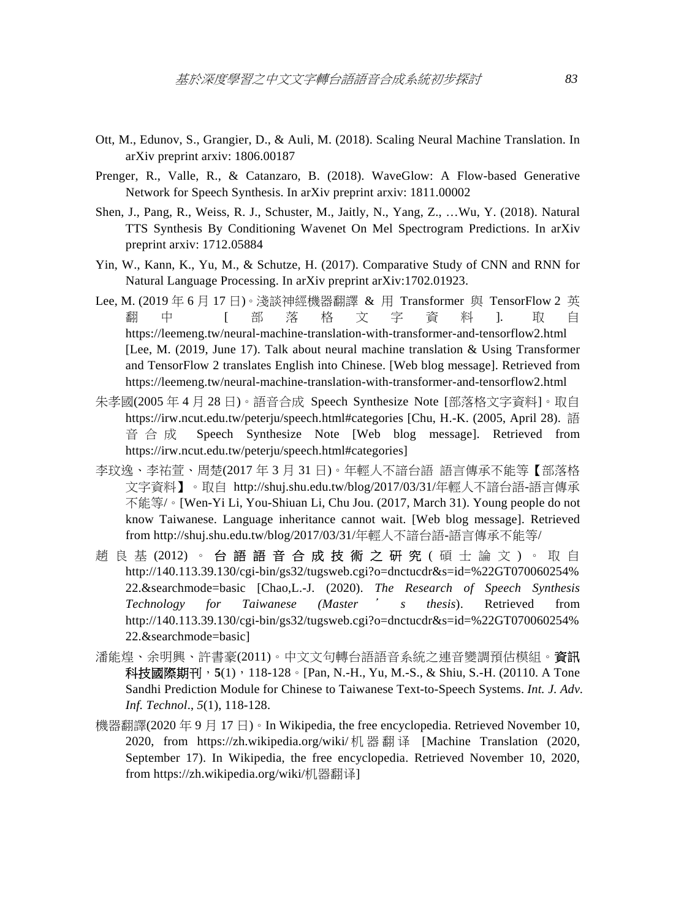- Ott, M., Edunov, S., Grangier, D., & Auli, M. (2018). Scaling Neural Machine Translation. In arXiv preprint arxiv: 1806.00187
- Prenger, R., Valle, R., & Catanzaro, B. (2018). WaveGlow: A Flow-based Generative Network for Speech Synthesis. In arXiv preprint arxiv: 1811.00002
- Shen, J., Pang, R., Weiss, R. J., Schuster, M., Jaitly, N., Yang, Z., …Wu, Y. (2018). Natural TTS Synthesis By Conditioning Wavenet On Mel Spectrogram Predictions. In arXiv preprint arxiv: 1712.05884
- Yin, W., Kann, K., Yu, M., & Schutze, H. (2017). Comparative Study of CNN and RNN for Natural Language Processing. In arXiv preprint arXiv:1702.01923.
- Lee, M. (2019 年 6 月 17 日)。淺談神經機器翻譯 & 用 Transformer 與 TensorFlow 2 英 翻 中 【 部 落 格 文 字 資 料 】. 取 自 https://leemeng.tw/neural-machine-translation-with-transformer-and-tensorflow2.html [Lee, M. (2019, June 17). Talk about neural machine translation & Using Transformer and TensorFlow 2 translates English into Chinese. [Web blog message]. Retrieved from https://leemeng.tw/neural-machine-translation-with-transformer-and-tensorflow2.html
- 朱孝國(2005 年 4 月 28 日)。語音合成 Speech Synthesize Note [部落格文字資料]。取自 https://irw.ncut.edu.tw/peterju/speech.html#categories [Chu, H.-K. (2005, April 28). 語 音合成 Speech Synthesize Note [Web blog message]. Retrieved from https://irw.ncut.edu.tw/peterju/speech.html#categories]
- 李玟逸、李祐萱、周楚(2017 年 3 月 31 日)。年輕人不諳台語 語言傳承不能等【部落格 文字資料】。取自 http://shuj.shu.edu.tw/blog/2017/03/31/年輕人不諳台語-語言傳承 不能等/。[Wen-Yi Li, You-Shiuan Li, Chu Jou. (2017, March 31). Young people do not know Taiwanese. Language inheritance cannot wait. [Web blog message]. Retrieved from http://shuj.shu.edu.tw/blog/2017/03/31/年輕人不諳台語-語言傳承不能等/
- 趙良基 (2012) 。 台語 語 音 合 成 技 術 之 研 究 ( 碩 士 論 文 ) 。 取 自 http://140.113.39.130/cgi-bin/gs32/tugsweb.cgi?o=dnctucdr&s=id=%22GT070060254% 22.&searchmode=basic [Chao,L.-J. (2020). *The Research of Speech Synthesis Technology for Taiwanese (Master* ' *s thesis*). Retrieved from http://140.113.39.130/cgi-bin/gs32/tugsweb.cgi?o=dnctucdr&s=id=%22GT070060254% 22.&searchmode=basic]
- 潘能煌、余明興、許書豪(2011)。中文文句轉台語語音系統之連音變調預估模組。資訊 科技國際期刊, 5(1), 118-128。[Pan, N.-H., Yu, M.-S., & Shiu, S.-H. (20110. A Tone Sandhi Prediction Module for Chinese to Taiwanese Text-to-Speech Systems. *Int. J. Adv. Inf. Technol*., *5*(1), 118-128.
- 機器翻譯(2020年9月17日)。In Wikipedia, the free encyclopedia. Retrieved November 10, 2020, from https://zh.wikipedia.org/wiki/ 机器翻译 [Machine Translation (2020, September 17). In Wikipedia, the free encyclopedia. Retrieved November 10, 2020, from https://zh.wikipedia.org/wiki/机器翻译]